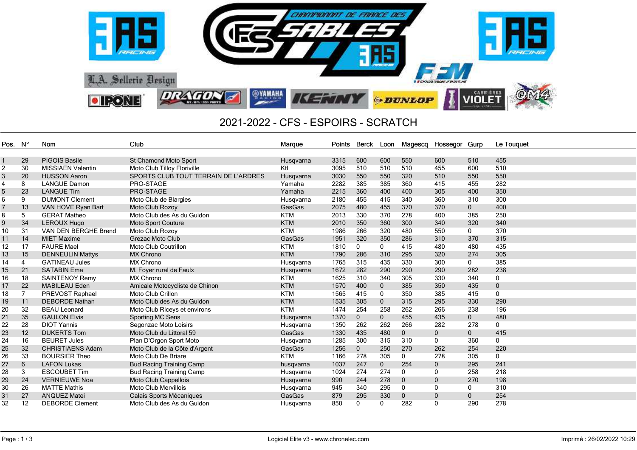

## 2021-2022 - CFS - ESPOIRS - SCRATCH

| Pos. | – N°           | <b>Nom</b>               | Club                                 | Marque        | Points | Berck       |              | Loon Magescq | Hossegor Gurp |                | Le Touquet   |
|------|----------------|--------------------------|--------------------------------------|---------------|--------|-------------|--------------|--------------|---------------|----------------|--------------|
|      |                |                          |                                      |               |        |             |              |              |               |                |              |
|      | 29             | <b>PIGOIS Basile</b>     | St Chamond Moto Sport                | Husqvarna     | 3315   | 600         | 600          | 550          | 600           | 510            | 455          |
| 2    | 30             | <b>MISSIAEN Valentin</b> | Moto Club Tilloy Floriville          | Ktl           | 3095   | 510         | 510          | 510          | 455           | 600            | 510          |
| 3    | 20             | <b>HUSSON Aaron</b>      | SPORTS CLUB TOUT TERRAIN DE L'ARDRES | Husqvarna     | 3030   | 550         | 550          | 320          | 510           | 550            | 550          |
| 4    | 8              | <b>LANGUE Damon</b>      | PRO-STAGE                            | Yamaha        | 2282   | 385         | 385          | 360          | 415           | 455            | 282          |
| 5    | 23             | <b>LANGUE Tim</b>        | PRO-STAGE                            | Yamaha        | 2215   | 360         | 400          | 400          | 305           | 400            | 350          |
| 6    | 9              | <b>DUMONT Clement</b>    | Moto Club de Blargies                | Husgvarna     | 2180   | 455         | 415          | 340          | 360           | 310            | 300          |
|      | 13             | VAN HOVE Ryan Bart       | Moto Club Rozoy                      | GasGas        | 2075   | 480         | 455          | 370          | 370           | $\mathbf{0}$   | 400          |
| 8    | 5              | <b>GERAT Matheo</b>      | Moto Club des As du Guidon           | <b>KTM</b>    | 2013   | 330         | 370          | 278          | 400           | 385            | 250          |
| 9    | 34             | <b>LEROUX Hugo</b>       | Moto Sport Couture                   | <b>KTM</b>    | 2010   | 350         | 360          | 300          | 340           | 320            | 340          |
| 10   | 31             | VAN DEN BERGHE Brend     | Moto Club Rozoy                      | <b>KTM</b>    | 1986   | 266         | 320          | 480          | 550           | $\mathbf 0$    | 370          |
| 11   | 14             | <b>MIET Maxime</b>       | Grezac Moto Club                     | <b>GasGas</b> | 1951   | 320         | 350          | 286          | 310           | 370            | 315          |
| 12   | 17             | <b>FAURE Mael</b>        | <b>Moto Club Coutrillon</b>          | <b>KTM</b>    | 1810   | 0           | 0            | 415          | 480           | 480            | 435          |
| 13   | 15             | <b>DENNEULIN Mattys</b>  | <b>MX Chrono</b>                     | <b>KTM</b>    | 1790   | 286         | 310          | 295          | 320           | 274            | 305          |
| 14   | $\overline{4}$ | <b>GATINEAU Jules</b>    | <b>MX Chrono</b>                     | Husqvarna     | 1765   | 315         | 435          | 330          | 300           | 0              | 385          |
| 15   | 21             | <b>SATABIN Ema</b>       | M. Foyer rural de Faulx              | Husqvarna     | 1672   | 282         | 290          | 290          | 290           | 282            | 238          |
| 16   | 18             | <b>SAINTENOY Remy</b>    | <b>MX Chrono</b>                     | <b>KTM</b>    | 1625   | 310         | 340          | 305          | 330           | 340            | $\mathbf 0$  |
| 17   | 22             | <b>MABILEAU Eden</b>     | Amicale Motocycliste de Chinon       | <b>KTM</b>    | 1570   | 400         | $\mathbf{0}$ | 385          | 350           | 435            | $\pmb{0}$    |
| 18   |                | PREVOST Raphael          | Moto Club Crillon                    | KTM           | 1565   | 415         | 0            | 350          | 385           | 415            | $\mathbf{0}$ |
| 19   | 11             | <b>DEBORDE Nathan</b>    | Moto Club des As du Guidon           | <b>KTM</b>    | 1535   | 305         | $\mathbf{0}$ | 315          | 295           | 330            | 290          |
| 20   | 32             | <b>BEAU Leonard</b>      | Moto Club Riceys et environs         | <b>KTM</b>    | 1474   | 254         | 258          | 262          | 266           | 238            | 196          |
| 21   | 35             | <b>GAULON Elvis</b>      | <b>Sporting MC Sens</b>              | Husqvarna     | 1370   | $\mathbf 0$ | $\mathbf 0$  | 455          | 435           | $\overline{0}$ | 480          |
| 22   | 28             | <b>DIOT Yannis</b>       | Segonzac Moto Loisirs                | Husqvarna     | 1350   | 262         | 262          | 266          | 282           | 278            | $\mathbf 0$  |
| 23   | 12             | <b>DUKERTS Tom</b>       | Moto Club du Littoral 59             | GasGas        | 1330   | 435         | 480          | $\mathbf{0}$ | 0             | $\mathbf{0}$   | 415          |
| 24   | 16             | <b>BEURET Jules</b>      | Plan D'Orgon Sport Moto              | Husqvarna     | 1285   | 300         | 315          | 310          | 0             | 360            | $\mathbf 0$  |
| 25   | 32             | <b>CHRISTIAENS Adam</b>  | Moto Club de la Côte d'Argent        | GasGas        | 1256   | $\mathbf 0$ | 250          | 270          | 262           | 254            | 220          |
| 26   | 33             | <b>BOURSIER Theo</b>     | Moto Club De Briare                  | <b>KTM</b>    | 1166   | 278         | 305          | $\mathbf{0}$ | 278           | 305            | $\mathbf 0$  |
| 27   | 6              | <b>LAFON Lukas</b>       | <b>Bud Racing Training Camp</b>      | husqvarna     | 1037   | 247         | $\mathbf{0}$ | 254          | $\mathbf{0}$  | 295            | 241          |
| 28   | 3              | <b>ESCOUBET Tim</b>      | <b>Bud Racing Training Camp</b>      | Husqvarna     | 1024   | 274         | 274          | 0            | 0             | 258            | 218          |
| 29   | 24             | <b>VERNIEUWE Noa</b>     | Moto Club Cappellois                 | Husqvarna     | 990    | 244         | 278          | $\mathbf 0$  | 0             | 270            | 198          |
| 30   | 26             | <b>MATTE Mathis</b>      | <b>Moto Club Mervillois</b>          | Husgvarna     | 945    | 340         | 295          | 0            | 0             | 0              | 310          |
| 31   | 27             | <b>ANQUEZ Matei</b>      | Calais Sports Mécaniques             | GasGas        | 879    | 295         | 330          | $\mathbf{0}$ | $\mathbf{0}$  | $\mathbf{0}$   | 254          |
| 32   | 12             | <b>DEBORDE Clement</b>   | Moto Club des As du Guidon           | Husgvarna     | 850    | 0           | 0            | 282          | $\mathbf{0}$  | 290            | 278          |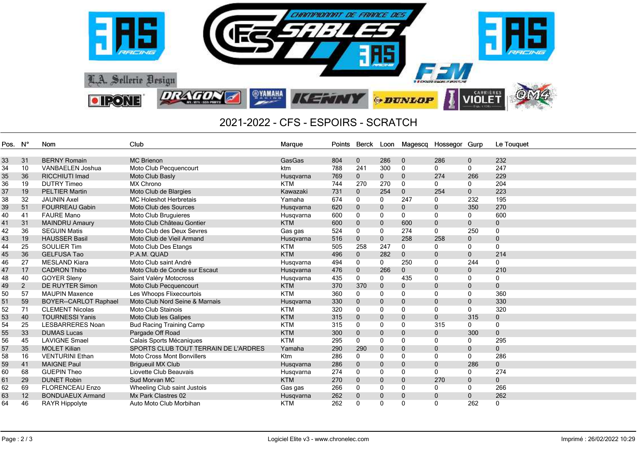

## 2021-2022 - CFS - ESPOIRS - SCRATCH

| Pos. N° |                | Nom                          | Club                                 | Marque     | Points | Berck Loon   |              |              | Magescq Hossegor Gurp |              | Le Touquet   |
|---------|----------------|------------------------------|--------------------------------------|------------|--------|--------------|--------------|--------------|-----------------------|--------------|--------------|
|         |                |                              |                                      |            |        |              |              |              |                       |              |              |
| 33      | 31             | <b>BERNY Romain</b>          | <b>MC</b> Brienon                    | GasGas     | 804    | $\mathbf 0$  | 286          | $\mathbf 0$  | 286                   | $\mathbf 0$  | 232          |
| 34      | 10             | <b>VANBAELEN Joshua</b>      | Moto Club Pecquencourt               | ktm        | 788    | 241          | 300          | 0            | 0                     | $\mathbf{0}$ | 247          |
| 35      | 36             | <b>RICCHIUTI Imad</b>        | Moto Club Basly                      | Husgvarna  | 769    | $\mathbf 0$  | $\mathbf 0$  | $\mathbf{0}$ | 274                   | 266          | 229          |
| 36      | 19             | <b>DUTRY Timeo</b>           | <b>MX Chrono</b>                     | <b>KTM</b> | 744    | 270          | 270          | $\mathbf{0}$ | $\mathbf{0}$          | $\mathbf{0}$ | 204          |
| 37      | 19             | <b>PELTIER Martin</b>        | Moto Club de Blargies                | Kawazaki   | 731    | $\mathbf{0}$ | 254          | $\Omega$     | 254                   | $\mathbf{0}$ | 223          |
| 38      | 32             | <b>JAUNIN Axel</b>           | <b>MC Holeshot Herbretais</b>        | Yamaha     | 674    | $\mathbf{0}$ | $\mathbf{0}$ | 247          | $\mathbf{0}$          | 232          | 195          |
| 39      | 51             | <b>FOURREAU Gabin</b>        | Moto Club des Sources                | Husqvarna  | 620    | $\mathbf{0}$ | $\mathbf 0$  | 0            | $\mathbf 0$           | 350          | 270          |
| 40      | 41             | <b>FAURE Mano</b>            | Moto Club Bruguieres                 | Husqvarna  | 600    | 0            | $\Omega$     | 0            | 0                     | $\Omega$     | 600          |
| 41      | 31             | <b>MAINDRU Amaury</b>        | Moto Club Château Gontier            | <b>KTM</b> | 600    | $\mathbf 0$  | $\mathbf 0$  | 600          | $\mathbf 0$           | $\mathbf{0}$ | $\mathbf 0$  |
| 42      | 36             | <b>SEGUIN Matis</b>          | Moto Club des Deux Sevres            | Gas gas    | 524    | $\mathbf 0$  | 0            | 274          | $\mathbf{0}$          | 250          | 0            |
| 43      | 19             | <b>HAUSSER Basil</b>         | Moto Club de Vieil Armand            | Husqvarna  | 516    | $\mathbf 0$  | $\mathbf{0}$ | 258          | 258                   | $\mathbf{0}$ | $\mathbf{0}$ |
| 44      | 25             | <b>SOULIER Tim</b>           | Moto Club Des Etangs                 | <b>KTM</b> | 505    | 258          | 247          | 0            | $\mathbf{0}$          | $\mathbf{0}$ | $\mathbf 0$  |
| 45      | 36             | <b>GELFUSA Tao</b>           | P.A.M. QUAD                          | <b>KTM</b> | 496    | $\mathbf 0$  | 282          | $\mathbf{0}$ | $\mathbf{0}$          | $\mathbf{0}$ | 214          |
| 46      | 27             | <b>MESLAND Kiara</b>         | Moto Club saint André                | Husqvarna  | 494    | $\mathbf{0}$ | $\mathbf{0}$ | 250          | $\mathbf{0}$          | 244          | $\mathbf{0}$ |
| 47      | 17             | <b>CADRON Thibo</b>          | Moto Club de Conde sur Escaut        | Husqvarna  | 476    | $\mathbf 0$  | 266          | $\mathbf{0}$ | $\mathbf{0}$          | $\mathbf{0}$ | 210          |
| 48      | 40             | <b>GOYER Sleny</b>           | Saint Valéry Motocross               | Husqvarna  | 435    | 0            | 0            | 435          | $\Omega$              | $\Omega$     | 0            |
| 49      | $\overline{c}$ | <b>DE RUYTER Simon</b>       | Moto Club Pecquencourt               | <b>KTM</b> | 370    | 370          | $\mathbf 0$  | 0            | $\mathbf{0}$          | 0            | $\mathbf 0$  |
| 50      | 57             | <b>MAUPIN Maxence</b>        | Les Whoops Flixecourtois             | <b>KTM</b> | 360    | $\mathbf{0}$ | $\Omega$     | $\Omega$     | $\Omega$              | $\Omega$     | 360          |
| 51      | 59             | <b>BOYER--CARLOT Raphael</b> | Moto Club Nord Seine & Marnais       | Husqvarna  | 330    | $\mathbf{0}$ | $\mathbf{0}$ | $\mathbf{0}$ | $\mathbf{0}$          | $\mathbf{0}$ | 330          |
| 52      | 71             | <b>CLEMENT Nicolas</b>       | <b>Moto Club Stainois</b>            | <b>KTM</b> | 320    | 0            | $\mathbf{0}$ | $\Omega$     | $\Omega$              | $\Omega$     | 320          |
| 53      | 40             | <b>TOURNESSI Yanis</b>       | Moto Club les Galipes                | <b>KTM</b> | 315    | $\mathbf{0}$ | $\mathbf 0$  | $\mathbf{0}$ | $\Omega$              | 315          | $\mathbf 0$  |
| 54      | 25             | <b>LESBARRERES Noan</b>      | <b>Bud Racing Training Camp</b>      | <b>KTM</b> | 315    | 0            | $\mathbf 0$  | $\Omega$     | 315                   | $\mathbf{0}$ | $\mathbf{0}$ |
| 55      | 33             | <b>DUMAS Lucas</b>           | Pargade Off Road                     | <b>KTM</b> | 300    | $\mathbf 0$  | $\mathbf{0}$ | 0            | 0                     | 300          | $\mathbf 0$  |
| 56      | 45             | <b>LAVIGNE Smael</b>         | Calais Sports Mécaniques             | <b>KTM</b> | 295    | 0            | 0            | $\Omega$     | $\Omega$              | $\mathbf{0}$ | 295          |
| 57      | 35             | <b>MOLET Kilian</b>          | SPORTS CLUB TOUT TERRAIN DE L'ARDRES | Yamaha     | 290    | 290          | $\mathbf{0}$ | $\mathbf 0$  | $\mathbf{0}$          | $\mathbf{0}$ | 0            |
| 58      | 16             | <b>VENTURINI Ethan</b>       | <b>Moto Cross Mont Bonvillers</b>    | Ktm        | 286    | $\mathbf{0}$ | $\Omega$     | $\Omega$     | $\Omega$              | $\mathbf{0}$ | 286          |
| 59      | 41             | <b>MAIGNE Paul</b>           | <b>Brigueuil MX Club</b>             | Husqvarna  | 286    | $\mathbf{0}$ | $\mathbf{0}$ | $\mathbf{0}$ | $\mathbf{0}$          | 286          | $\mathbf{0}$ |
| 60      | 68             | <b>GUEPIN Theo</b>           | Liovette Club Beauvais               | Husqvarna  | 274    | $\mathbf{0}$ | 0            | $\Omega$     | 0                     | 0            | 274          |
| 61      | 29             | <b>DUNET Robin</b>           | Sud Morvan MC                        | <b>KTM</b> | 270    | $\mathbf{0}$ | $\mathbf 0$  | 0            | 270                   | $\mathbf 0$  | $\mathbf 0$  |
| 62      | 69             | <b>FLORENCEAU Enzo</b>       | Wheeling Club saint Justois          | Gas gas    | 266    | $\mathbf 0$  | 0            | $\mathbf{0}$ | 0                     | 0            | 266          |
| 63      | 12             | <b>BONDUAEUX Armand</b>      | Mx Park Clastres 02                  | Husqvarna  | 262    | $\mathbf{0}$ | $\mathbf{0}$ | $\mathbf{0}$ | $\mathbf{0}$          | $\mathbf{0}$ | 262          |
| 64      | 46             | RAYR Hippolyte               | Auto Moto Club Morbihan              | <b>KTM</b> | 262    | $\mathbf{0}$ | $\Omega$     | $\Omega$     | $\Omega$              | 262          | $\mathbf{0}$ |